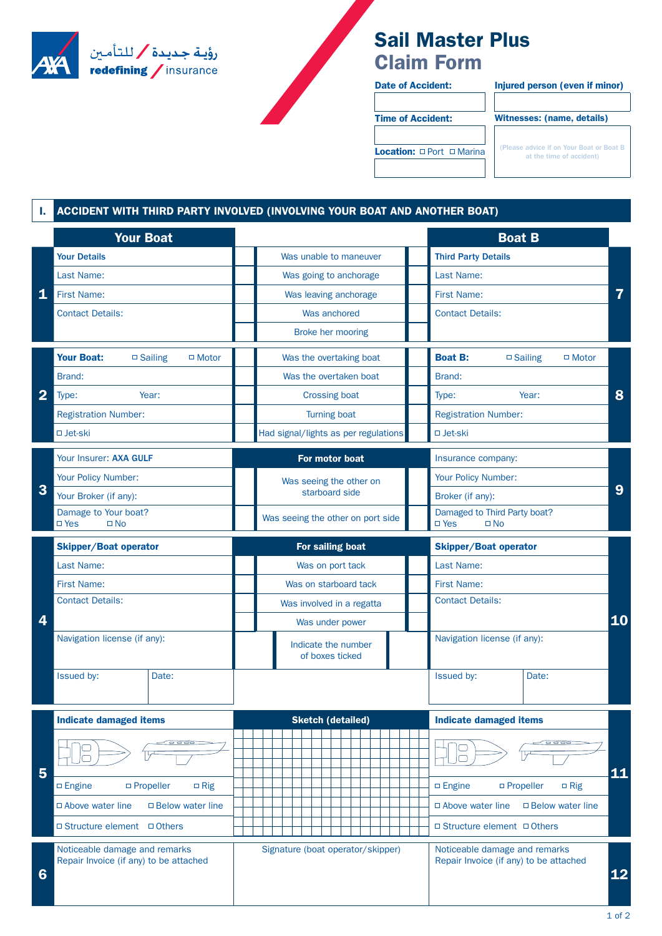

## **Sail Master Plus Claim Form**

Date of Accident: Injured person (even if minor)

Time of Accident: Witnesses: (name, details)

Location:  $\Box$  Port  $\Box$  Marina

(Please advice if on Your Boat or Boat B<br>at the time of accident)

## **I. ACCIDENT WITH THIRD PARTY INVOLVED (INVOLVING YOUR BOAT AND ANOTHER BOAT)**

|                | <b>Your Boat</b>                                                        |                                        | <b>Boat B</b>                                                           |    |  |  |  |  |  |  |  |  |  |
|----------------|-------------------------------------------------------------------------|----------------------------------------|-------------------------------------------------------------------------|----|--|--|--|--|--|--|--|--|--|
|                | <b>Your Details</b>                                                     | Was unable to maneuver                 | <b>Third Party Details</b>                                              |    |  |  |  |  |  |  |  |  |  |
|                | Last Name:                                                              | Was going to anchorage                 | Last Name:                                                              |    |  |  |  |  |  |  |  |  |  |
| 1              | <b>First Name:</b>                                                      | Was leaving anchorage                  | <b>First Name:</b>                                                      |    |  |  |  |  |  |  |  |  |  |
|                | <b>Contact Details:</b>                                                 | Was anchored                           | <b>Contact Details:</b>                                                 |    |  |  |  |  |  |  |  |  |  |
|                |                                                                         | Broke her mooring                      |                                                                         |    |  |  |  |  |  |  |  |  |  |
| $\overline{2}$ | <b>Your Boat:</b><br>$\square$ Sailing<br>$\Box$ Motor                  | Was the overtaking boat                | <b>Boat B:</b><br>$\square$ Sailing<br>$\Box$ Motor                     |    |  |  |  |  |  |  |  |  |  |
|                | Brand:                                                                  | Was the overtaken boat                 | Brand:                                                                  |    |  |  |  |  |  |  |  |  |  |
|                | Year:<br>Type:                                                          | <b>Crossing boat</b>                   | Type:<br>Year:                                                          |    |  |  |  |  |  |  |  |  |  |
|                | <b>Registration Number:</b>                                             | <b>Turning boat</b>                    | <b>Registration Number:</b>                                             |    |  |  |  |  |  |  |  |  |  |
|                | □ Jet-ski                                                               | Had signal/lights as per regulations   | □ Jet-ski                                                               |    |  |  |  |  |  |  |  |  |  |
| 3              | Your Insurer: AXA GULF                                                  | For motor boat                         | Insurance company:                                                      |    |  |  |  |  |  |  |  |  |  |
|                | Your Policy Number:                                                     | Was seeing the other on                | Your Policy Number:                                                     |    |  |  |  |  |  |  |  |  |  |
|                | Your Broker (if any):                                                   | starboard side                         | Broker (if any):                                                        |    |  |  |  |  |  |  |  |  |  |
|                | Damage to Your boat?<br>$\square$ Yes<br>$\square$ No                   | Was seeing the other on port side      | Damaged to Third Party boat?<br>$\square$ Yes<br>$\square$ No           |    |  |  |  |  |  |  |  |  |  |
|                | <b>Skipper/Boat operator</b>                                            | For sailing boat                       | <b>Skipper/Boat operator</b>                                            |    |  |  |  |  |  |  |  |  |  |
|                | Last Name:                                                              | Was on port tack                       | Last Name:                                                              |    |  |  |  |  |  |  |  |  |  |
|                | <b>First Name:</b>                                                      | Was on starboard tack                  | <b>First Name:</b>                                                      |    |  |  |  |  |  |  |  |  |  |
|                | <b>Contact Details:</b>                                                 | Was involved in a regatta              | <b>Contact Details:</b>                                                 |    |  |  |  |  |  |  |  |  |  |
| 4              |                                                                         | Was under power                        |                                                                         |    |  |  |  |  |  |  |  |  |  |
|                | Navigation license (if any):                                            | Indicate the number<br>of boxes ticked | Navigation license (if any):                                            |    |  |  |  |  |  |  |  |  |  |
|                | Issued by:<br>Date:                                                     |                                        | Issued by:<br>Date:                                                     |    |  |  |  |  |  |  |  |  |  |
|                |                                                                         |                                        |                                                                         |    |  |  |  |  |  |  |  |  |  |
| 5              | <b>Indicate damaged items</b>                                           | <b>Sketch (detailed)</b>               | <b>Indicate damaged items</b>                                           |    |  |  |  |  |  |  |  |  |  |
|                |                                                                         |                                        |                                                                         |    |  |  |  |  |  |  |  |  |  |
|                |                                                                         |                                        |                                                                         |    |  |  |  |  |  |  |  |  |  |
|                | $\square$ Propeller<br>$\Box$ Engine<br>$\Box$ Rig                      |                                        | $\square$ Engine<br>$\Box$ Propeller<br>$\Box$ Rig                      | 11 |  |  |  |  |  |  |  |  |  |
|                | $\Box$ Below water line<br>$\Box$ Above water line                      |                                        | $\Box$ Below water line<br>$\Box$ Above water line                      |    |  |  |  |  |  |  |  |  |  |
|                | □ Structure element □ Others                                            |                                        | $\Box$ Structure element $\Box$ Others                                  |    |  |  |  |  |  |  |  |  |  |
| 6              | Noticeable damage and remarks<br>Repair Invoice (if any) to be attached | Signature (boat operator/skipper)      | Noticeable damage and remarks<br>Repair Invoice (if any) to be attached |    |  |  |  |  |  |  |  |  |  |